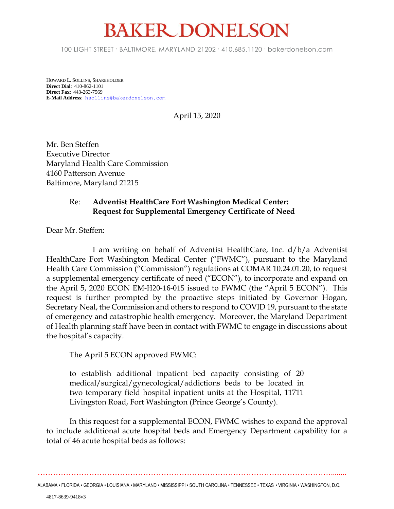## **BAKER DONELSON**

100 LIGHT STREET • BALTIMORE, MARYLAND 21202 • 410.685.1120 • bakerdonelson.com

HOWARD L. SOLLINS, SHAREHOLDER **Direct Dial**: 410-862-1101 **Direct Fax**: 443-263-7569 **E-Mail Address**: [hsollins@bakerdonelson.com](mailto:hsollins@bakerdonelson.com)

April 15, 2020

Mr. Ben Steffen Executive Director Maryland Health Care Commission 4160 Patterson Avenue Baltimore, Maryland 21215

## Re: **Adventist HealthCare Fort Washington Medical Center: Request for Supplemental Emergency Certificate of Need**

Dear Mr. Steffen:

I am writing on behalf of Adventist HealthCare, Inc. d/b/a Adventist HealthCare Fort Washington Medical Center ("FWMC"), pursuant to the Maryland Health Care Commission ("Commission") regulations at COMAR 10.24.01.20, to request a supplemental emergency certificate of need ("ECON"), to incorporate and expand on the April 5, 2020 ECON EM-H20-16-015 issued to FWMC (the "April 5 ECON"). This request is further prompted by the proactive steps initiated by Governor Hogan, Secretary Neal, the Commission and others to respond to COVID 19, pursuant to the state of emergency and catastrophic health emergency. Moreover, the Maryland Department of Health planning staff have been in contact with FWMC to engage in discussions about the hospital's capacity.

The April 5 ECON approved FWMC:

to establish additional inpatient bed capacity consisting of 20 medical/surgical/gynecological/addictions beds to be located in two temporary field hospital inpatient units at the Hospital, 11711 Livingston Road, Fort Washington (Prince George's County).

In this request for a supplemental ECON, FWMC wishes to expand the approval to include additional acute hospital beds and Emergency Department capability for a total of 46 acute hospital beds as follows:

……………………………………………………………………………………………………........

ALABAMA • FLORIDA • GEORGIA • LOUISIANA • MARYLAND • MISSISSIPPI • SOUTH CAROLINA • TENNESSEE • TEXAS • VIRGINIA • WASHINGTON, D.C.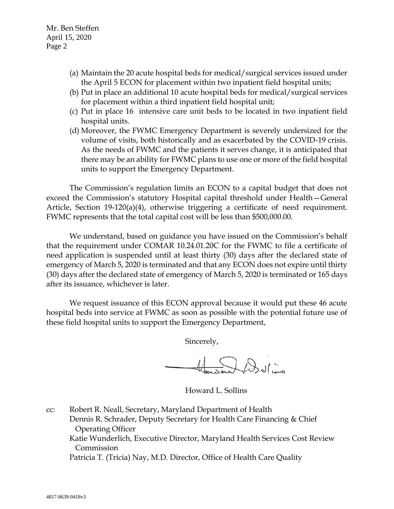- (a) Maintain the 20 acute hospital beds for medical/surgical services issued under the April 5 ECON for placement within two inpatient field hospital units;
- (b) Put in place an additional 10 acute hospital beds for medical/surgical services for placement within a third inpatient field hospital unit;
- (c) Put in place 16 intensive care unit beds to be located in two inpatient field hospital units.
- (d) Moreover, the FWMC Emergency Department is severely undersized for the volume of visits, both historically and as exacerbated by the COVID-19 crisis. As the needs of FWMC and the patients it serves change, it is anticipated that there may be an ability for FWMC plans to use one or more of the field hospital units to support the Emergency Department.

The Commission's regulation limits an ECON to a capital budget that does not exceed the Commission's statutory Hospital capital threshold under Health—General Article, Section 19-120(a)(4), otherwise triggering a certificate of need requirement. FWMC represents that the total capital cost will be less than \$500,000.00.

We understand, based on guidance you have issued on the Commission's behalf that the requirement under COMAR 10.24.01.20C for the FWMC to file a certificate of need application is suspended until at least thirty (30) days after the declared state of emergency of March 5, 2020 is terminated and that any ECON does not expire until thirty (30) days after the declared state of emergency of March 5, 2020 is terminated or 165 days after its issuance, whichever is later.

We request issuance of this ECON approval because it would put these 46 acute hospital beds into service at FWMC as soon as possible with the potential future use of these field hospital units to support the Emergency Department,

Sincerely,

De de l'ins

Howard L. Sollins

cc: Robert R. Neall, Secretary, Maryland Department of Health Dennis R. Schrader, Deputy Secretary for Health Care Financing & Chief Operating Officer Katie Wunderlich, Executive Director, Maryland Health Services Cost Review Commission Patricia T. (Tricia) Nay, M.D. Director, Office of Health Care Quality